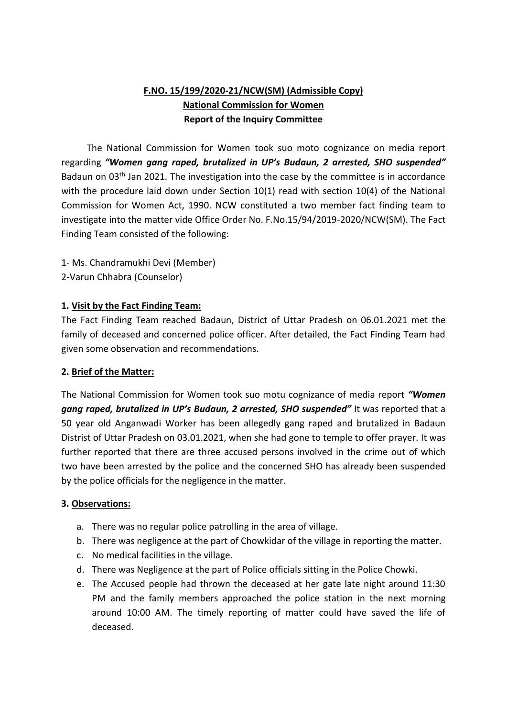# **F.NO. 15/199/2020-21/NCW(SM) (Admissible Copy) National Commission for Women Report of the Inquiry Committee**

 The National Commission for Women took suo moto cognizance on media report regarding *"Women gang raped, brutalized in UP's Budaun, 2 arrested, SHO suspended"* Badaun on 03<sup>th</sup> Jan 2021. The investigation into the case by the committee is in accordance with the procedure laid down under Section 10(1) read with section 10(4) of the National Commission for Women Act, 1990. NCW constituted a two member fact finding team to investigate into the matter vide Office Order No. F.No.15/94/2019-2020/NCW(SM). The Fact Finding Team consisted of the following:

- 1- Ms. Chandramukhi Devi (Member)
- 2-Varun Chhabra (Counselor)

## **1. Visit by the Fact Finding Team:**

The Fact Finding Team reached Badaun, District of Uttar Pradesh on 06.01.2021 met the family of deceased and concerned police officer. After detailed, the Fact Finding Team had given some observation and recommendations.

## **2. Brief of the Matter:**

The National Commission for Women took suo motu cognizance of media report *"Women gang raped, brutalized in UP's Budaun, 2 arrested, SHO suspended"* It was reported that a 50 year old Anganwadi Worker has been allegedly gang raped and brutalized in Badaun Distrist of Uttar Pradesh on 03.01.2021, when she had gone to temple to offer prayer. It was further reported that there are three accused persons involved in the crime out of which two have been arrested by the police and the concerned SHO has already been suspended by the police officials for the negligence in the matter.

## **3. Observations:**

- a. There was no regular police patrolling in the area of village.
- b. There was negligence at the part of Chowkidar of the village in reporting the matter.
- c. No medical facilities in the village.
- d. There was Negligence at the part of Police officials sitting in the Police Chowki.
- e. The Accused people had thrown the deceased at her gate late night around 11:30 PM and the family members approached the police station in the next morning around 10:00 AM. The timely reporting of matter could have saved the life of deceased.